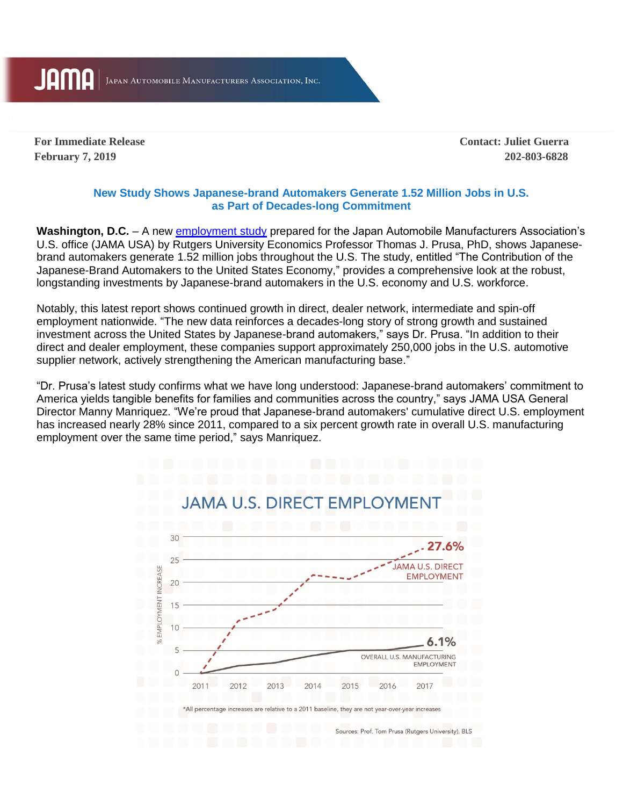**JAMA** 

JAPAN AUTOMOBILE MANUFACTURERS ASSOCIATION, INC.

**February 7, 2019 202-803-6828**

**For Immediate Release Contact: Juliet Guerra**

## **New Study Shows Japanese-brand Automakers Generate 1.52 Million Jobs in U.S. as Part of Decades-long Commitment**

**Washington, D.C.** – A new [employment study](https://www.jama.org/wp-content/uploads/2019/02/prusa-jama-usa-employment-study-2019-2017-data.pdf) prepared for the Japan Automobile Manufacturers Association's U.S. office (JAMA USA) by Rutgers University Economics Professor Thomas J. Prusa, PhD, shows Japanesebrand automakers generate 1.52 million jobs throughout the U.S. The study, entitled "The Contribution of the Japanese-Brand Automakers to the United States Economy," provides a comprehensive look at the robust, longstanding investments by Japanese-brand automakers in the U.S. economy and U.S. workforce.

Notably, this latest report shows continued growth in direct, dealer network, intermediate and spin-off employment nationwide. "The new data reinforces a decades-long story of strong growth and sustained investment across the United States by Japanese-brand automakers," says Dr. Prusa. "In addition to their direct and dealer employment, these companies support approximately 250,000 jobs in the U.S. automotive supplier network, actively strengthening the American manufacturing base."

"Dr. Prusa's latest study confirms what we have long understood: Japanese-brand automakers' commitment to America yields tangible benefits for families and communities across the country," says JAMA USA General Director Manny Manriquez. "We're proud that Japanese-brand automakers' cumulative direct U.S. employment has increased nearly 28% since 2011, compared to a six percent growth rate in overall U.S. manufacturing employment over the same time period," says Manriquez.